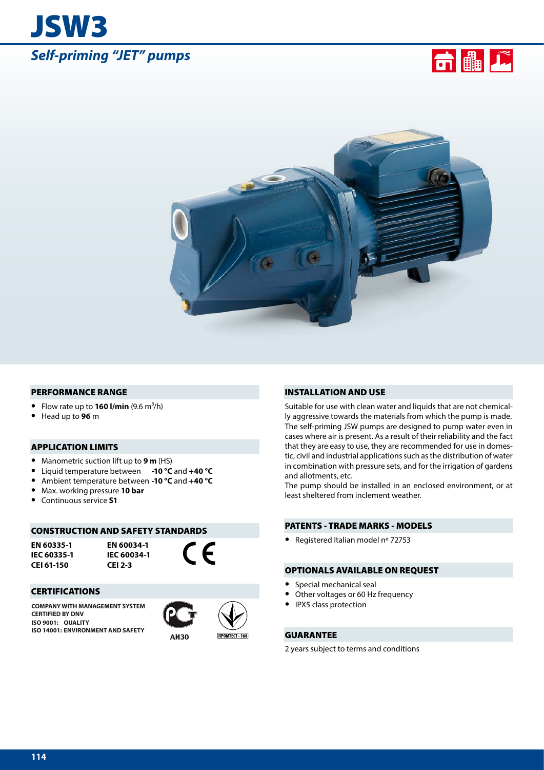





#### PERFORMANCE RANGE

- Flow rate up to  $160$  I/min  $(9.6 \text{ m}^3/\text{h})$
- **•** Head up to **96**<sup>m</sup>

## APPLICATION LIMITS

- **•** Manometric suction lift up to **9 m** (HS)
- **•** Liquid temperature between **-10 °C** and **+40 °C**
- **•** Ambient temperature between **-10 °C** and **+40 °C**
- **•** Max. working pressure **10 bar**
- **•** Continuous service **S1**

#### CONSTRUCTION AND SAFETY STANDARDS

**EN 60335-1 IEC 60335-1 CEI 61-150**

**EN 60034-1 IEC 60034-1 CEI 2-3**



## CERTIFICATIONS

**COMPANY WITH MANAGEMENT SYSTEM CERTIFIED BY DNV ISO 9001: QUALITY ISO 14001: ENVIRONMENT AND SAFETY**



*<u>IRPOMTECT 168</u>* 

#### INSTALLATION AND USE

Suitable for use with clean water and liquids that are not chemically aggressive towards the materials from which the pump is made. The self-priming JSW pumps are designed to pump water even in cases where air is present. As a result of their reliability and the fact that they are easy to use, they are recommended for use in domestic, civil and industrial applications such as the distribution of water in combination with pressure sets, and for the irrigation of gardens and allotments, etc.

The pump should be installed in an enclosed environment, or at least sheltered from inclement weather.

### PATENTS - TRADE MARKS - MODELS

**•** Registered Italian model nº 72753

## OPTIONALS AVAILABLE ON REQUEST

- **•** Special mechanical seal
- **•** Other voltages or 60 Hz frequency
- **•** IPX5 class protection

## GUARANTEE

2 years subject to terms and conditions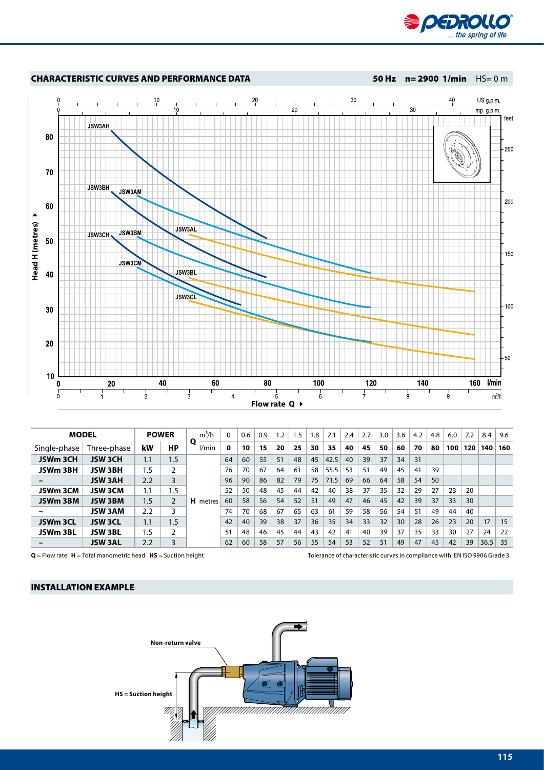



| <b>MODEL</b> |                |     | <b>POWER</b> | $m^3/h$    |    | 0.6 | 0.9 | 1.2 | 1.5 | 1.8 | 2.1  | 2.4 | 2.7 | 3.0 | 3.6 | 4.2 | 4.8 | 6.0 | 7.2 | 8.4  | 9.6 |
|--------------|----------------|-----|--------------|------------|----|-----|-----|-----|-----|-----|------|-----|-----|-----|-----|-----|-----|-----|-----|------|-----|
| Single-phase | Three-phase    | kW  | НP           | O<br>l/min | 0  | 10  | 15  | 20  | 25  | 30  | 35   | 40  | 45  | 50  | 60  | 70  | 80  | 100 | 120 | 140  | 160 |
| JSWm 3CH     | <b>JSW3CH</b>  | 1.1 | 1.5          |            | 64 | 60  | 55  | 51  | 48  | 45  | 42.5 | 40  | 39  | 37  | 34  | 31  |     |     |     |      |     |
| JSWm 3BH     | JSW 3BH        | 1.5 | 2            |            | 76 | 70  | 67  | 64  | 61  | 58  | 55.5 | 53  | 51  | 49  | 45  | 41  | 39  |     |     |      |     |
|              | <b>JSW 3AH</b> | 2.2 | 3            |            | 96 | 90  | 86  | 82  | 79  | 75  | 71.5 | 69  | 66  | 64  | 58  | 54  | 50  |     |     |      |     |
| JSWm 3CM     | JSW 3CM        | 1.1 | 1.5          |            | 52 | 50  | 48  | 45  | 44  | 42  | 40   | 38  | 37  | 35  | 32  | 29  | 27  | 23  | 20  |      |     |
| JSWm 3BM     | <b>JSW 3BM</b> | 1.5 | 2            | H metres   | 60 | 58  | 56  | 54  | 52  | 51  | 49   | 47  | 46  | 45  | 42  | 39  | 37  | 33  | 30  |      |     |
|              | <b>JSW 3AM</b> | 2.2 | 3            |            | 74 | 70  | 68  | 67  | 65  | 63  | 61   | 59  | 58  | 56  | 54  | 51  | 49  | 44  | 40  |      |     |
| JSWm 3CL     | <b>JSW 3CL</b> | 1.1 | 1.5          |            | 42 | 40  | 39  | 38  | 37  | 36  | 35   | 34  | 33  | 32  | 30  | 28  | 26  | 23  | 20  | 17   | 15  |
| JSWm 3BL     | <b>JSW 3BL</b> | 1.5 | 2            |            | 51 | 48  | 46  | 45  | 44  | 43  | 42   | 41  | 40  | 39  | 37  | 35  | 33  | 30  | 27  | 24   | 22  |
|              | <b>JSW3AL</b>  | 2.2 | 3            |            | 62 | 60  | 58  | 57  | 56  | 55  | 54   | 53  | 52  | 51  | 49  | 47  | 45  | 42  | 39  | 36.5 | 35  |

**Q** = Flow rate **H** = Total manometric head **HS** = Suction height Tolerance of characteristic curves in compliance with EN ISO 9906 Grade 3.

## INSTALLATION EXAMPLE

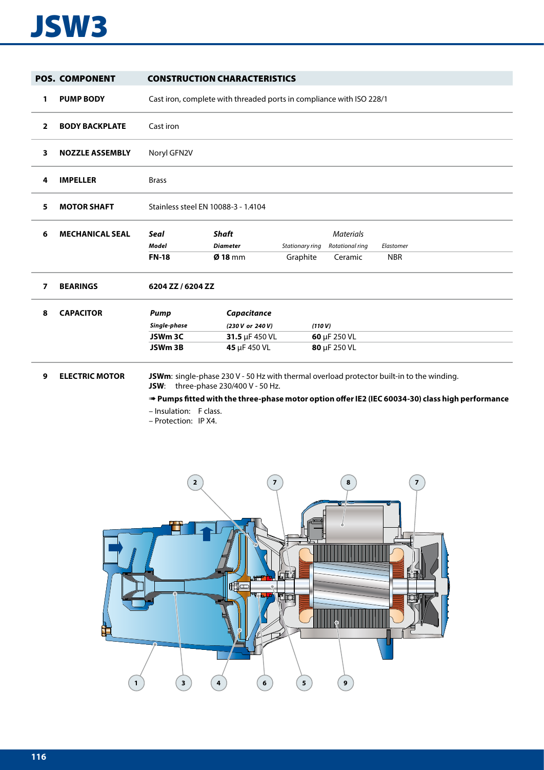# JSW3

|              | <b>POS. COMPONENT</b>                     |                                                | <b>CONSTRUCTION CHARACTERISTICS</b>                                  |                             |                                                |                                                                                                                                                                                             |
|--------------|-------------------------------------------|------------------------------------------------|----------------------------------------------------------------------|-----------------------------|------------------------------------------------|---------------------------------------------------------------------------------------------------------------------------------------------------------------------------------------------|
| 1            | <b>PUMP BODY</b>                          |                                                | Cast iron, complete with threaded ports in compliance with ISO 228/1 |                             |                                                |                                                                                                                                                                                             |
| $\mathbf{2}$ | <b>BODY BACKPLATE</b>                     | Cast iron                                      |                                                                      |                             |                                                |                                                                                                                                                                                             |
| 3            | <b>NOZZLE ASSEMBLY</b>                    | Noryl GFN2V                                    |                                                                      |                             |                                                |                                                                                                                                                                                             |
| 4            | <b>IMPELLER</b>                           | <b>Brass</b>                                   |                                                                      |                             |                                                |                                                                                                                                                                                             |
| 5            | <b>MOTOR SHAFT</b>                        | Stainless steel EN 10088-3 - 1.4104            |                                                                      |                             |                                                |                                                                                                                                                                                             |
| 6            | <b>MECHANICAL SEAL</b>                    | <b>Seal</b><br><b>Model</b><br><b>FN-18</b>    | <b>Shaft</b><br><b>Diameter</b><br>$Ø$ 18 mm                         | Stationary ring<br>Graphite | <b>Materials</b><br>Rotational ring<br>Ceramic | Elastomer<br><b>NBR</b>                                                                                                                                                                     |
| 7            | <b>BEARINGS</b>                           | 6204 ZZ / 6204 ZZ                              |                                                                      |                             |                                                |                                                                                                                                                                                             |
| 8            | <b>CAPACITOR</b><br><b>ELECTRIC MOTOR</b> | Pump<br>Single-phase<br>JSWm 3C<br>JSWm 3B     | Capacitance<br>(230 V or 240 V)<br>31.5 µF 450 VL<br>45 µF 450 VL    | (110 V)                     | 60 µF 250 VL<br>80 µF 250 VL                   |                                                                                                                                                                                             |
| 9            |                                           | - Insulation: F class.<br>- Protection: IP X4. | <b>JSW:</b> three-phase 230/400 V - 50 Hz.                           |                             |                                                | JSWm: single-phase 230 V - 50 Hz with thermal overload protector built-in to the winding.<br>Pumps fitted with the three-phase motor option offer IE2 (IEC 60034-30) class high performance |